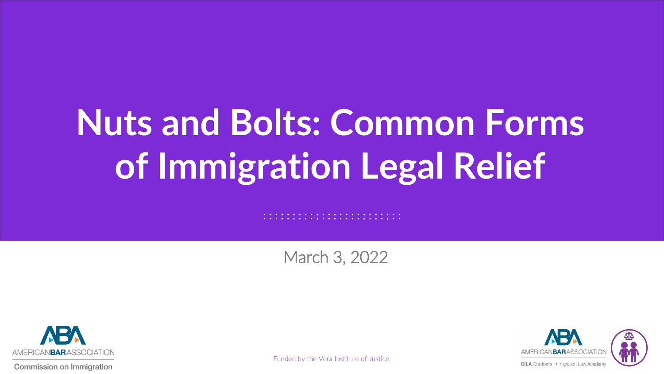# **Nuts and Bolts: Common Forms of Immigration Legal Relief**

#### March 3, 2022

. . . . . . . . . . . . . . . . . . . 



Commission on Immigration

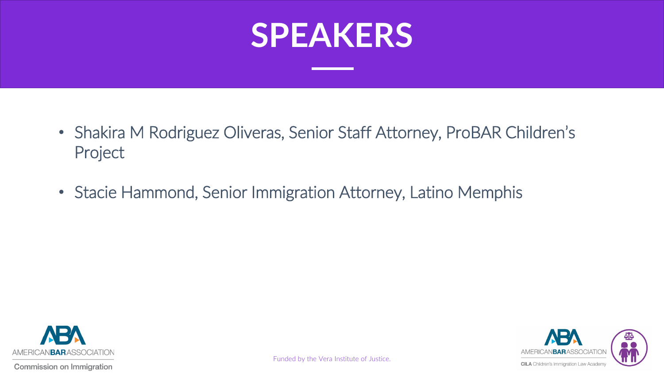#### **SPEAKERS**

- Shakira M Rodriguez Oliveras, Senior Staff Attorney, ProBAR Children's Project
- Stacie Hammond, Senior Immigration Attorney, Latino Memphis



NBARASSOCIATION **CILA** Children's Immigration Law Academy

Funded by the Vera Institute of Justice.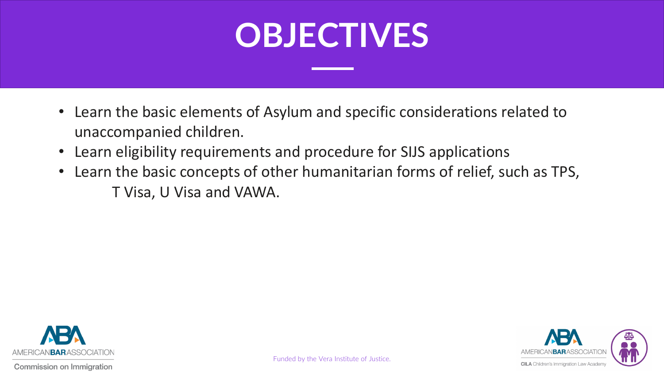### **OBJECTIVES**

- Learn the basic elements of Asylum and specific considerations related to unaccompanied children.
- Learn eligibility requirements and procedure for SIJS applications
- Learn the basic concepts of other humanitarian forms of relief, such as TPS, T Visa, U Visa and VAWA.

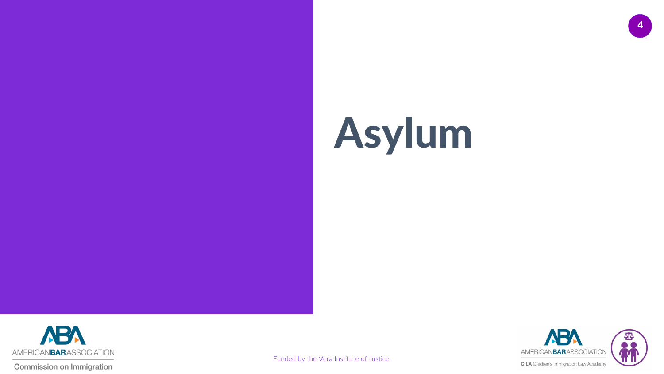# Asylum



**Commission on Immigration** 

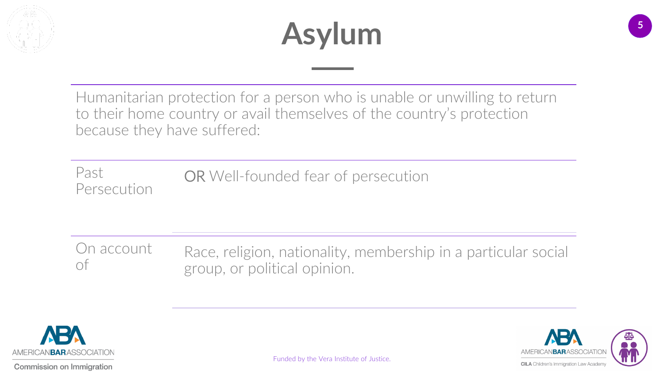

### **Asylum**

Humanitarian protection for a person who is unable or unwilling to return to their home country or avail themselves of the country's protection because they have suffered:

Past Persecution OR Well-founded fear of persecution

On account On account Race, religion, nationality, membership in a particular social<br>of group, or political opinion.



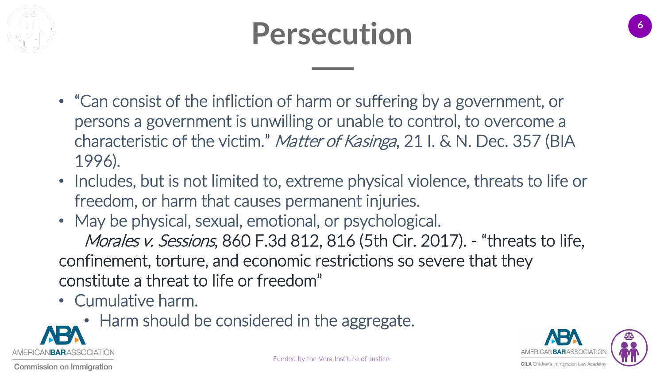

### **Persecution**

- "Can consist of the infliction of harm or suffering by a government, or persons a government is unwilling or unable to control, to overcome a characteristic of the victim." Matter of Kasinga, 21 I. & N. Dec. 357 (BIA 1996).
- Includes, but is not limited to, extreme physical violence, threats to life or freedom, or harm that causes permanent injuries.
- May be physical, sexual, emotional, or psychological. Morales v. Sessions, 860 F.3d 812, 816 (5th Cir. 2017). - "threats to life, confinement, torture, and economic restrictions so severe that they constitute a threat to life or freedom"
- Cumulative harm.
	- [Ha](https://www.americanbar.org/groups/public_interest/immigration/)rm should be considered in the aggregate.



Commission on Immigration

AN **BAR** ASSOCIATION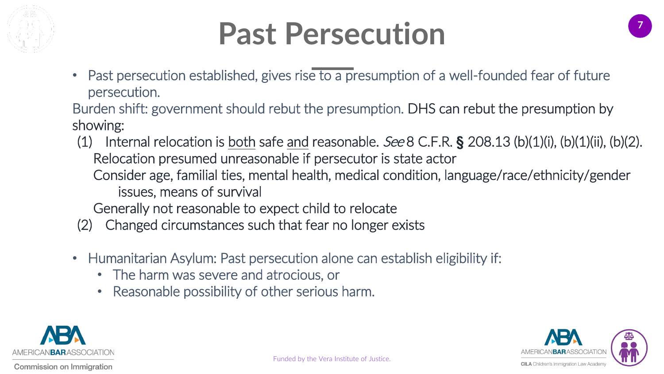

### **Past Persecution**

• Past persecution established, gives rise to a presumption of a well-founded fear of future persecution.

Burden shift: government should rebut the presumption. DHS can rebut the presumption by showing:

(1) Internal relocation is both safe and reasonable. See 8 C.F.R. **§** 208.13 (b)(1)(i), (b)(1)(ii), (b)(2). Relocation presumed unreasonable if persecutor is state actor Consider age, familial ties, mental health, medical condition, language/race/ethnicity/gender issues, means of survival

Generally not reasonable to expect child to relocate

- (2) Changed circumstances such that fear no longer exists
- Humanitarian Asylum: Past persecution alone can establish eligibility if:
	- The harm was severe and atrocious, or
	- Reasonable possibility of other serious harm.





**7**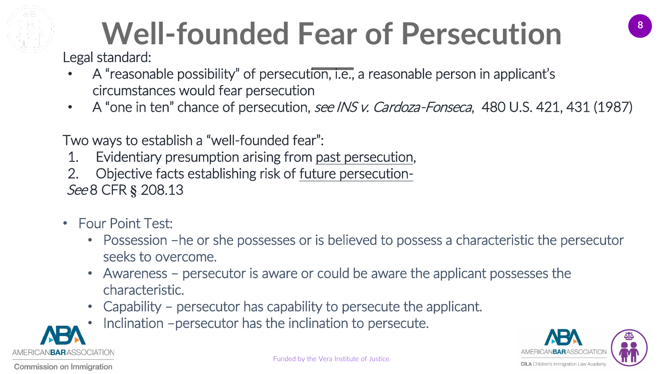

### Well-founded Fear of Persecution

Legal standard:

- A "reasonable possibility" of persecution, i.e., a reasonable person in applicant's circumstances would fear persecution
- A "one in ten" chance of persecution, *see INS v. Cardoza-Fonseca*, 480 U.S. 421, 431 (1987)

Two ways to establish a "well-founded fear":

- 1. Evidentiary presumption arising from past persecution,
- 2. Objective facts establishing risk of future persecution-See 8 CFR **§** 208.13
- Four Point Test:
	- Possession –he or she possesses or is believed to possess a characteristic the persecutor seeks to overcome.
	- Awareness persecutor is aware or could be aware the applicant possesses the characteristic.
	- Capability persecutor has capability to persecute the applicant.
	- [In](https://www.americanbar.org/groups/public_interest/immigration/)clination -persecutor has the inclination to persecute.



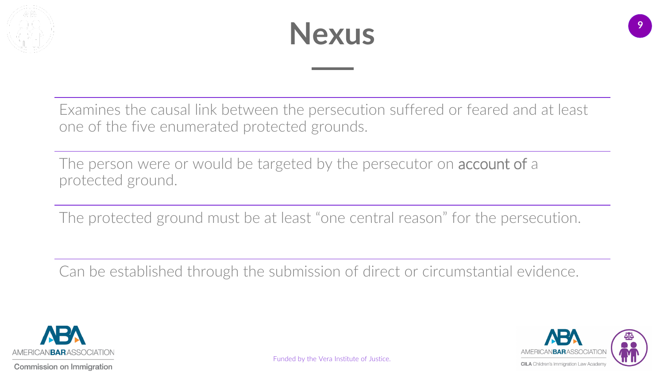



Examines the causal link between the persecution suffered or feared and at least one of the five enumerated protected grounds.

The person were or would be targeted by the persecutor on **account of** a protected ground.

The protected ground must be at least "one central reason" for the persecution.

Can be established through the submission of direct or circumstantial evidence.



**CILA** Children's Immigration Law Academy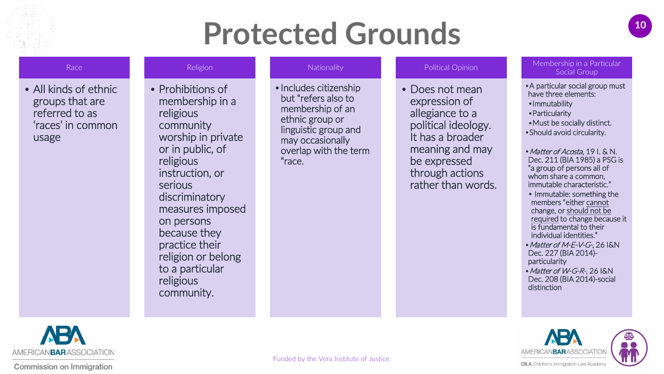

#### **<sup>10</sup> Protected Grounds**

#### Race

• All kinds of ethnic groups that are referred to as 'races' in common usage

#### Religion

• Prohibitions of membership in a religious community worship in private or in public, of religious instruction, or serious discriminatory measures imposed on persons because they practice their religion or belong to a particular religious community.

#### **Nationality**

•Includes citizenship but "refers also to membership of an ethnic group or linguistic group and may occasionally overlap with the term "race.

#### Political Opinion

• Does not mean expression of allegiance to a political ideology. It has a broader meaning and may be expressed through actions rather than words.

#### Membership in a Particular Social Group

•A particular social group must have three elements: •Immutability •Particularity •Must be socially distinct. •Should avoid circularity. • Matter of Acosta, 19 I. & N. Dec. 211 (BIA 1985) a PSG is "a group of persons all of whom share a common,

• Immutable: something the members "either cannot change, or should not be required to change because it is fundamental to their individual identities."

immutable characteristic."

- Matter of M-E-V-G-, 26 I&N Dec. 227 (BIA 2014) particularity
- Matter of W-G-R-, 26 I&N Dec. 208 (BIA 2014)-social distinction



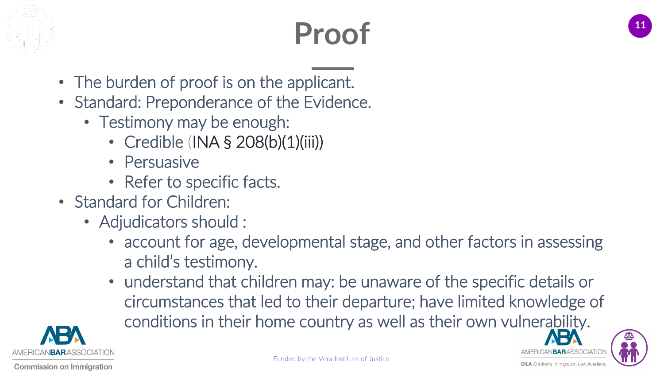

### **<sup>11</sup> Proof**

- The burden of proof is on the applicant.
- Standard: Preponderance of the Evidence.
	- Testimony may be enough:
		- Credible (INA § 208(b)(1)(iii))
		- Persuasive
		- Refer to specific facts.
- Standard for Children:
	- Adjudicators should :
		- account for age, developmental stage, and other factors in assessing a child's testimony.
		- understand that children may: be unaware of the specific details or circumstances that led to their departure; have limited knowledge of conditions in their home country as well as their own vulnerability.



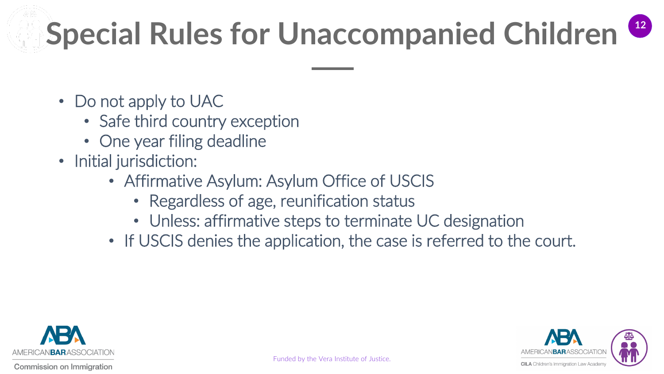# **<sup>12</sup> Special Rules for Unaccompanied Children**

- Do not apply to UAC
	- Safe third country exception
	- One year filing deadline
- Initial jurisdiction:
	- Affirmative Asylum: Asylum Office of USCIS
		- Regardless of age, reunification status
		- Unless: affirmative steps to terminate UC designation
	- If USCIS denies the application, the case is referred to the court.

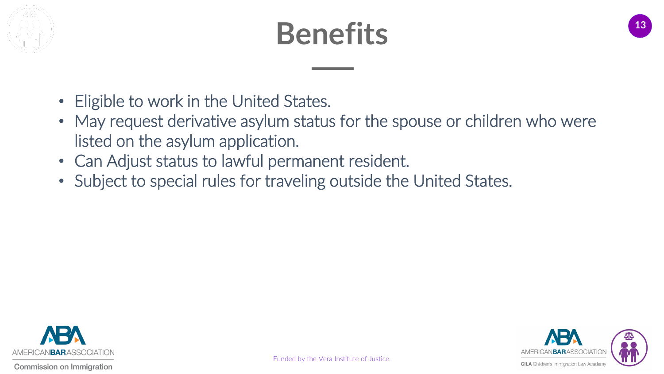

### **<sup>13</sup> Benefits**

- Eligible to work in the United States.
- May request derivative asylum status for the spouse or children who were listed on the asylum application.
- Can Adjust status to lawful permanent resident.
- Subject to special rules for traveling outside the United States.

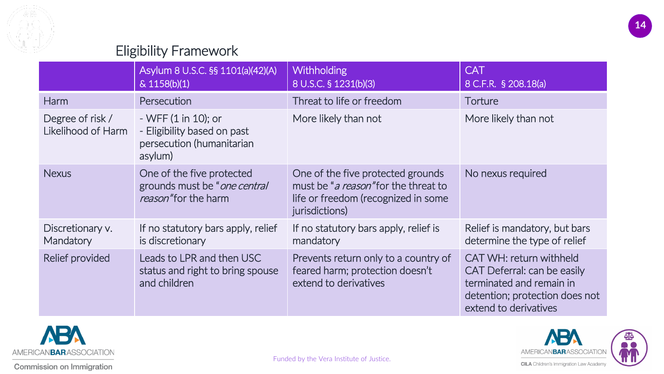

#### Eligibility Framework

|                                        | Asylum 8 U.S.C. §§ 1101(a)(42)(A)<br>& 1158(b)(1)                                           | <b>Withholding</b><br>8 U.S.C. § 1231(b)(3)                                                                                                 | <b>CAT</b><br>8 C.F.R. § 208.18(a)                                                                                                            |
|----------------------------------------|---------------------------------------------------------------------------------------------|---------------------------------------------------------------------------------------------------------------------------------------------|-----------------------------------------------------------------------------------------------------------------------------------------------|
| <b>Harm</b>                            | Persecution                                                                                 | Threat to life or freedom                                                                                                                   | Torture                                                                                                                                       |
| Degree of risk /<br>Likelihood of Harm | $-WFF(1 in 10);$ or<br>- Eligibility based on past<br>persecution (humanitarian<br>asylum)  | More likely than not                                                                                                                        | More likely than not                                                                                                                          |
| <b>Nexus</b>                           | One of the five protected<br>grounds must be " <i>one central</i> "<br>reason" for the harm | One of the five protected grounds<br>must be " <i>a reason</i> " for the threat to<br>life or freedom (recognized in some<br>jurisdictions) | No nexus required                                                                                                                             |
| Discretionary v.<br>Mandatory          | If no statutory bars apply, relief<br>is discretionary                                      | If no statutory bars apply, relief is<br>mandatory                                                                                          | Relief is mandatory, but bars<br>determine the type of relief                                                                                 |
| Relief provided                        | Leads to LPR and then USC<br>status and right to bring spouse<br>and children               | Prevents return only to a country of<br>feared harm; protection doesn't<br>extend to derivatives                                            | CAT WH: return withheld<br>CAT Deferral: can be easily<br>terminated and remain in<br>detention; protection does not<br>extend to derivatives |



**ABA** AMERICANBARASSOCIATION **CILA** Children's Immigration Law Academy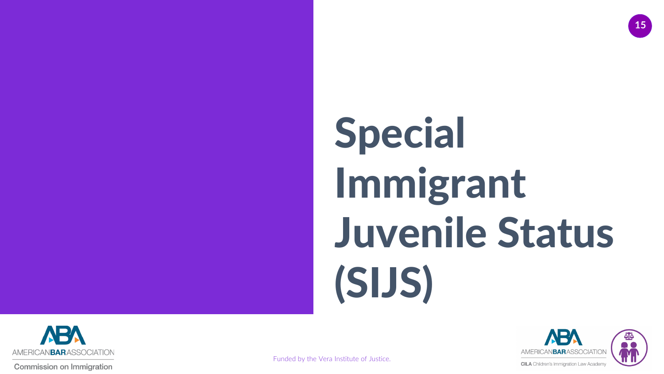





**Commission on Immigration**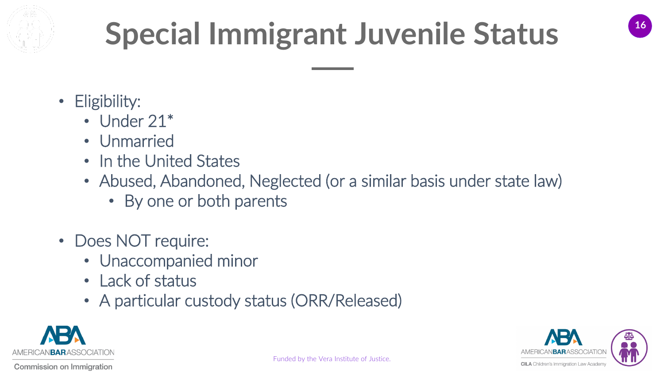

- Eligibility:
	- Under 21\*
	- Unmarried
	- In the United States
	- Abused, Abandoned, Neglected (or a similar basis under state law)
		- By one or both parents
- Does NOT require:
	- Unaccompanied minor
	- Lack of status
	- A particular custody status (ORR/Released)



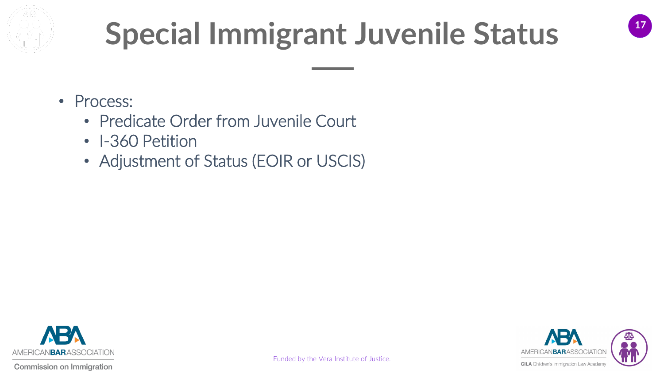

- Process:
	- Predicate Order from Juvenile Court
	- I-360 Petition
	- Adjustment of Status (EOIR or USCIS)



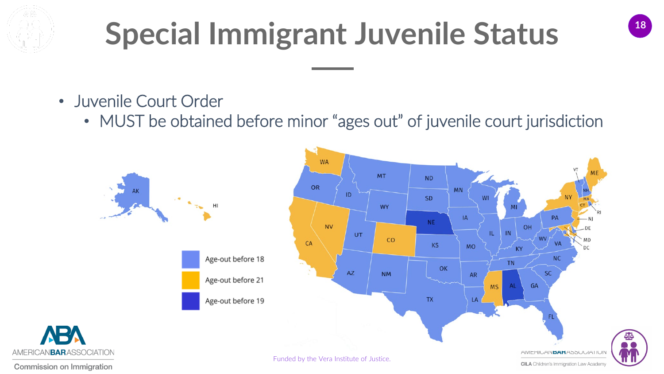

- Juvenile Court Order
	- MUST be obtained before minor "ages out" of juvenile court jurisdiction

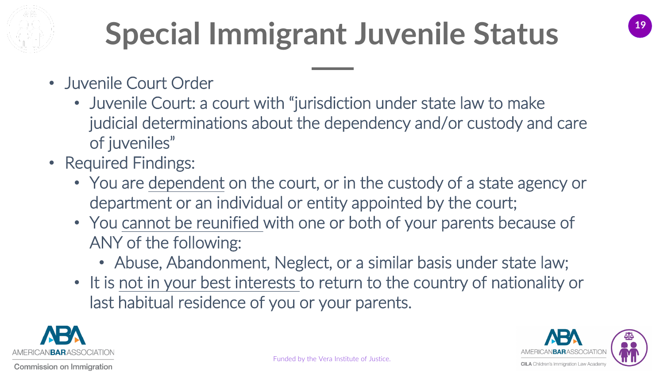

- Juvenile Court Order
	- Juvenile Court: a court with "jurisdiction under state law to make judicial determinations about the dependency and/or custody and care of juveniles"
- Required Findings:
	- You are dependent on the court, or in the custody of a state agency or department or an individual or entity appointed by the court;
	- You cannot be reunified with one or both of your parents because of ANY of the following:
		- Abuse, Abandonment, Neglect, or a similar basis under state law;
	- It is not in your best interests to return to the country of nationality or last habitual residence of you or your parents.



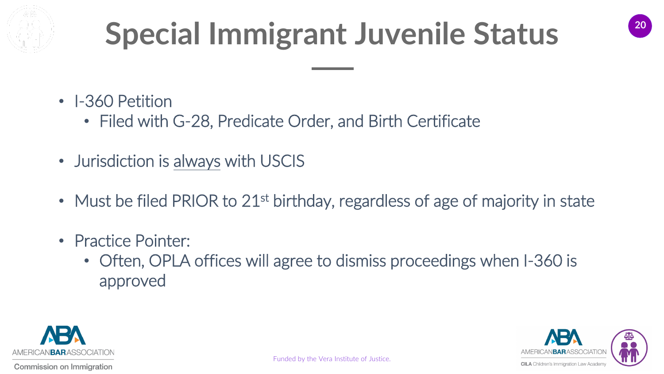

- I-360 Petition
	- Filed with G-28, Predicate Order, and Birth Certificate
- Jurisdiction is always with USCIS
- Must be filed PRIOR to 21<sup>st</sup> birthday, regardless of age of majority in state
- Practice Pointer:
	- Often, OPLA offices will agree to dismiss proceedings when I-360 is approved



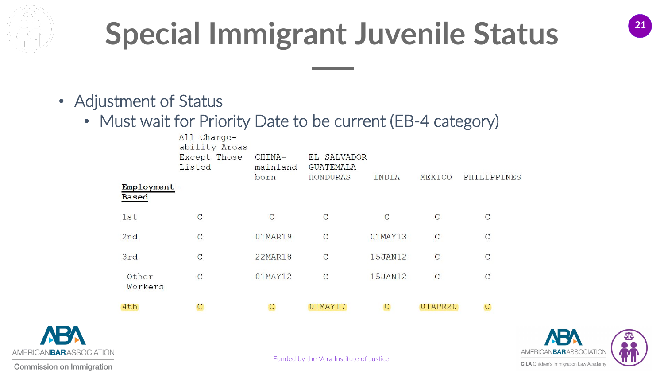

- Adjustment of Status
	- Must wait for Priority Date to be current (EB-4 category)

| 4th                         |                                                        | С                          | 01MAY17                                            | C       | 01APR20        | C              |
|-----------------------------|--------------------------------------------------------|----------------------------|----------------------------------------------------|---------|----------------|----------------|
| Other<br>Workers            | $\mathsf{C}$                                           | 01MAY12                    | $\mathbf C$                                        | 15JAN12 | $\mathsf{C}$   | $\mathsf{C}$   |
| 3rd                         | $\overline{C}$                                         | <b>22MAR18</b>             | $\overline{C}$                                     | 15JAN12 | $\overline{C}$ | $\overline{C}$ |
| 2nd                         | $\mathsf{C}$                                           | 01MAR19                    | $\mathcal{C}$                                      | 01MAY13 | $\mathcal{C}$  | $\mathbf C$    |
| 1st                         | $\mathsf{C}$                                           | $\mathcal{C}$              | $\mathbf C$                                        | С       | $\overline{C}$ | $\mathsf{C}$   |
| Employment-<br><b>Based</b> | All Charge-<br>ability Areas<br>Except Those<br>Listed | CHINA-<br>mainland<br>born | EL SALVADOR<br><b>GUATEMALA</b><br><b>HONDURAS</b> | INDIA   | MEXICO         | PHILIPPINES    |



AMERICAN**BAR**ASSOCIATION **CILA** Children's Immigration Law Academy

Funded by the Vera Institute of Justice.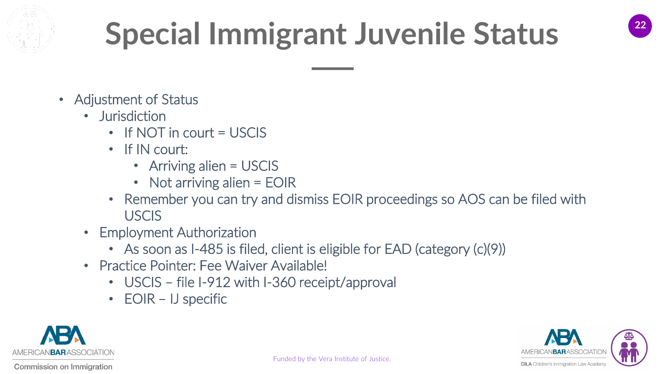

- Adjustment of Status
	- Jurisdiction
		- If NOT in court = USCIS
		- If IN court:
			- Arriving alien = USCIS
			- Not arriving alien = EOIR
		- Remember you can try and dismiss EOIR proceedings so AOS can be filed with **USCIS**
	- Employment Authorization
		- As soon as I-485 is filed, client is eligible for EAD (category (c)(9))
	- Practice Pointer: Fee Waiver Available!
		- USCIS file I-912 with I-360 receipt/approval
		- EOIR IJ specific

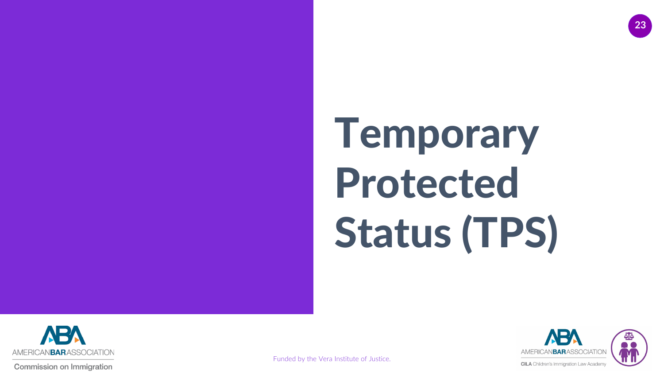

**Commission on Immigration** 



**23**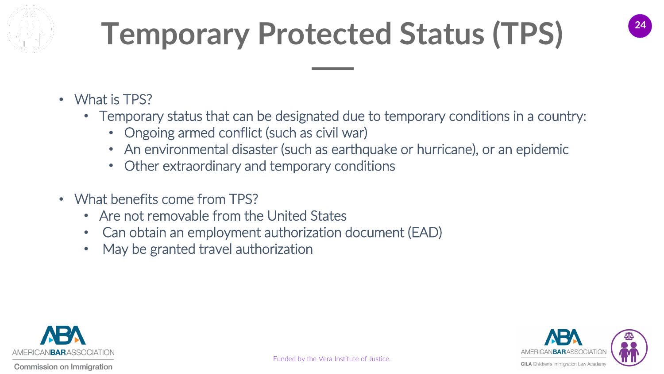

- What is TPS?
	- Temporary status that can be designated due to temporary conditions in a country:
		- Ongoing armed conflict (such as civil war)
		- An environmental disaster (such as earthquake or hurricane), or an epidemic
		- Other extraordinary and temporary conditions
- What benefits come from TPS?
	- Are not removable from the United States
	- Can obtain an employment authorization document (EAD)
	- May be granted travel authorization

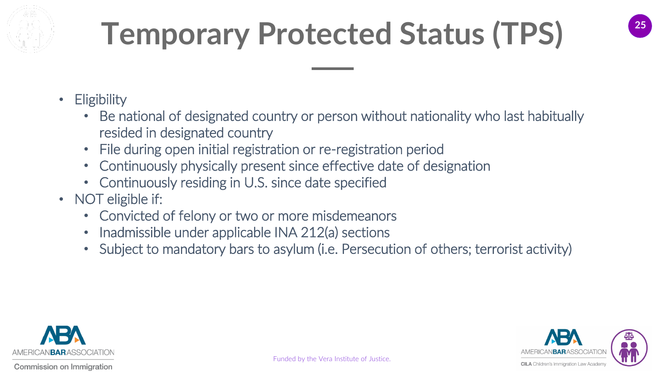- Eligibility
	- Be national of designated country or person without nationality who last habitually resided in designated country
	- File during open initial registration or re-registration period
	- Continuously physically present since effective date of designation
	- Continuously residing in U.S. since date specified
- NOT eligible if:
	- Convicted of felony or two or more misdemeanors
	- Inadmissible under applicable INA 212(a) sections
	- Subject to mandatory bars to asylum (i.e. Persecution of others; terrorist activity)

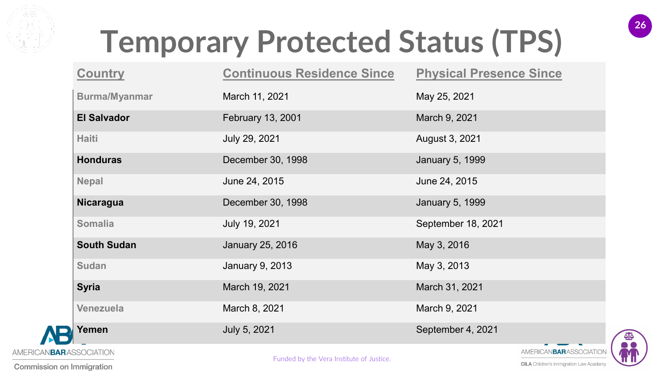

|                                 | <b>Country</b>       | <b>Continuous Residence Since</b> | <b>Physical Presence Since</b> |  |
|---------------------------------|----------------------|-----------------------------------|--------------------------------|--|
|                                 | <b>Burma/Myanmar</b> | March 11, 2021                    | May 25, 2021                   |  |
|                                 | <b>El Salvador</b>   | <b>February 13, 2001</b>          | March 9, 2021                  |  |
|                                 | <b>Haiti</b>         | July 29, 2021                     | August 3, 2021                 |  |
|                                 | <b>Honduras</b>      | December 30, 1998                 | <b>January 5, 1999</b>         |  |
|                                 | <b>Nepal</b>         | June 24, 2015                     | June 24, 2015                  |  |
|                                 | <b>Nicaragua</b>     | December 30, 1998                 | <b>January 5, 1999</b>         |  |
|                                 | <b>Somalia</b>       | July 19, 2021                     | September 18, 2021             |  |
|                                 | <b>South Sudan</b>   | January 25, 2016                  | May 3, 2016                    |  |
|                                 | <b>Sudan</b>         | <b>January 9, 2013</b>            | May 3, 2013                    |  |
|                                 | <b>Syria</b>         | March 19, 2021                    | March 31, 2021                 |  |
|                                 | <b>Venezuela</b>     | March 8, 2021                     | March 9, 2021                  |  |
|                                 | Yemen                | July 5, 2021                      | September 4, 2021              |  |
| AMERICAN <b>BAR</b> ASSOCIATION |                      |                                   | AMERICANBARASSOCIATIO          |  |



**26**

Funded by the Vera Institute of Justice.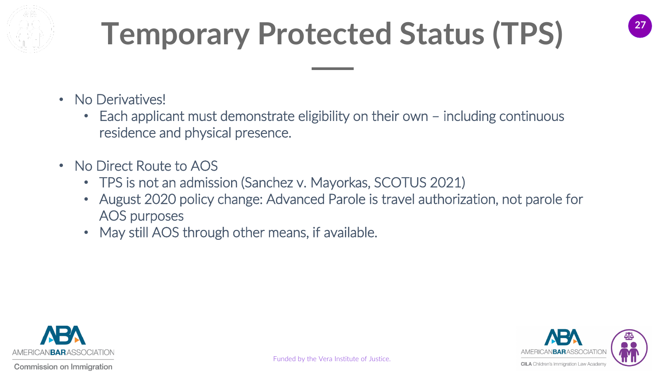

- No Derivatives!
	- Each applicant must demonstrate eligibility on their own including continuous residence and physical presence.
- No Direct Route to AOS
	- TPS is not an admission (Sanchez v. Mayorkas, SCOTUS 2021)
	- August 2020 policy change: Advanced Parole is travel authorization, not parole for AOS purposes
	- May still AOS through other means, if available.



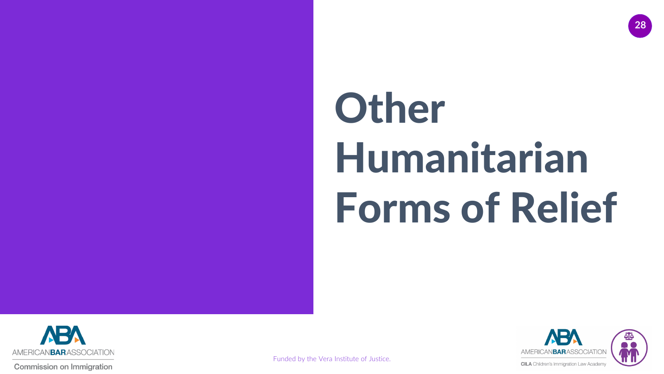# **Other** Humanitarian Forms of Relief



**Commission on Immigration** 



**28**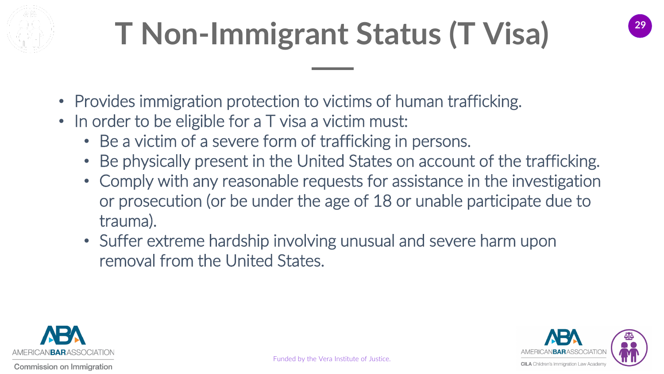

# **<sup>29</sup> T Non-Immigrant Status (T Visa)**



- Provides immigration protection to victims of human trafficking.
- In order to be eligible for a T visa a victim must:
	- Be a victim of a severe form of trafficking in persons.
	- Be physically present in the United States on account of the trafficking.
	- Comply with any reasonable requests for assistance in the investigation or prosecution (or be under the age of 18 or unable participate due to trauma).
	- Suffer extreme hardship involving unusual and severe harm upon removal from the United States.



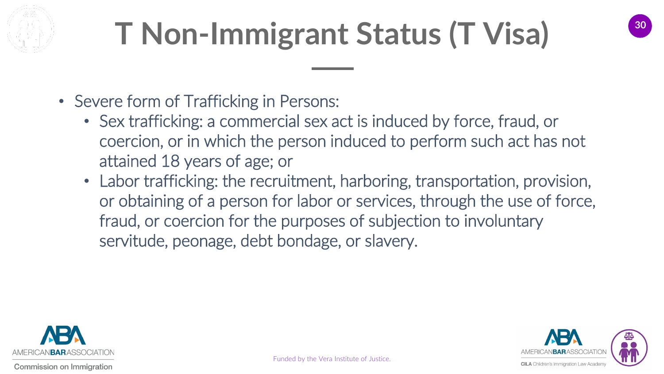

## **<sup>30</sup> T Non-Immigrant Status (T Visa)**

- Severe form of Trafficking in Persons:
	- Sex trafficking: a commercial sex act is induced by force, fraud, or coercion, or in which the person induced to perform such act has not attained 18 years of age; or
	- Labor trafficking: the recruitment, harboring, transportation, provision, or obtaining of a person for labor or services, through the use of force, fraud, or coercion for the purposes of subjection to involuntary servitude, peonage, debt bondage, or slavery.

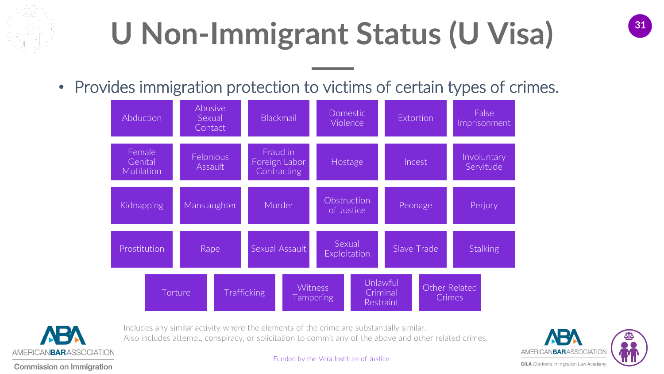

## **<sup>31</sup> U Non-Immigrant Status (U Visa)**

• Provides immigration protection to victims of certain types of crimes.





Includes any similar activity where the elements of the crime are substantially similar. Also includes attempt, conspiracy, or solicitation to commit any of the above and other related crimes.

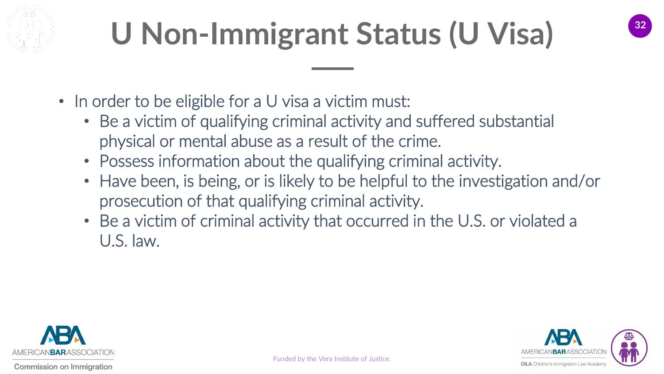

# **<sup>32</sup> U Non-Immigrant Status (U Visa)**



- In order to be eligible for a U visa a victim must:
	- Be a victim of qualifying criminal activity and suffered substantial physical or mental abuse as a result of the crime.
	- Possess information about the qualifying criminal activity.
	- Have been, is being, or is likely to be helpful to the investigation and/or prosecution of that qualifying criminal activity.
	- Be a victim of criminal activity that occurred in the U.S. or violated a U.S. law.

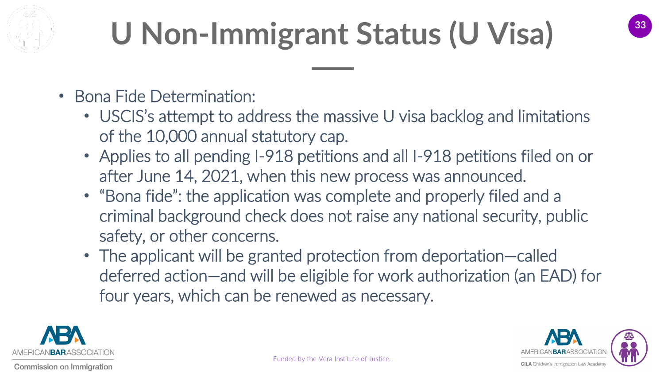

# **<sup>33</sup> U Non-Immigrant Status (U Visa)**

- Bona Fide Determination:
	- USCIS's attempt to address the massive U visa backlog and limitations of the 10,000 annual statutory cap.
	- Applies to all pending I-918 petitions and all I-918 petitions filed on or after June 14, 2021, when this new process was announced.
	- "Bona fide": the application was complete and properly filed and a criminal background check does not raise any national security, public safety, or other concerns.
	- The applicant will be granted protection from deportation—called deferred action—and will be eligible for work authorization (an EAD) for four years, which can be renewed as necessary.



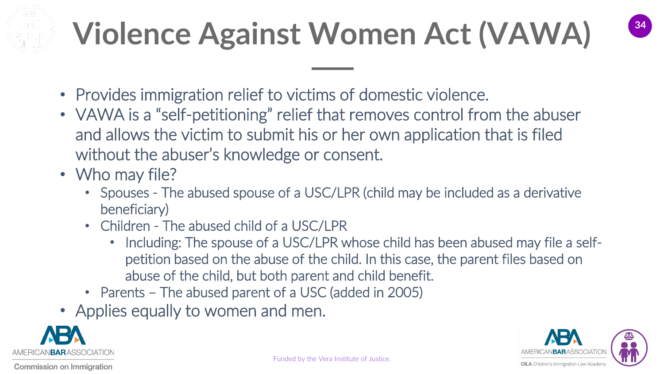# **<sup>34</sup> Violence Against Women Act (VAWA)**



- Provides immigration relief to victims of domestic violence.
- VAWA is a "self-petitioning" relief that removes control from the abuser and allows the victim to submit his or her own application that is filed without the abuser's knowledge or consent.
- Who may file?
	- Spouses The abused spouse of a USC/LPR (child may be included as a derivative beneficiary)
	- Children The abused child of a USC/LPR
		- Including: The spouse of a USC/LPR whose child has been abused may file a selfpetition based on the abuse of the child. In this case, the parent files based on abuse of the child, but both parent and child benefit.
	- Parents The abused parent of a USC (added in 2005)
- Applies equally to women and men.



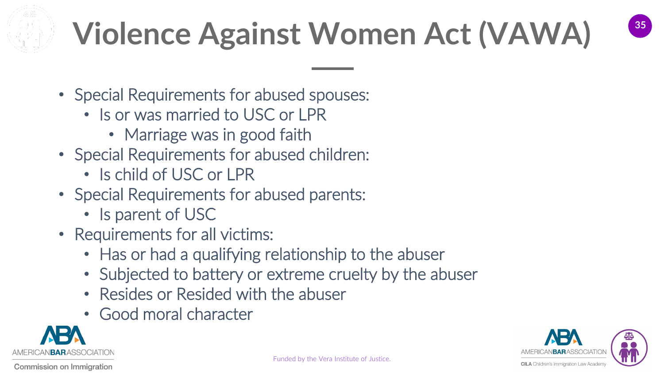

# **<sup>35</sup> Violence Against Women Act (VAWA)**



- Special Requirements for abused spouses:
	- Is or was married to USC or LPR
		- Marriage was in good faith
- Special Requirements for abused children:
	- Is child of USC or LPR
- Special Requirements for abused parents:
	- Is parent of USC
- Requirements for all victims:
	- Has or had a qualifying relationship to the abuser
	- Subjected to battery or extreme cruelty by the abuser
	- Resides or Resided with the abuser
	- Good moral character



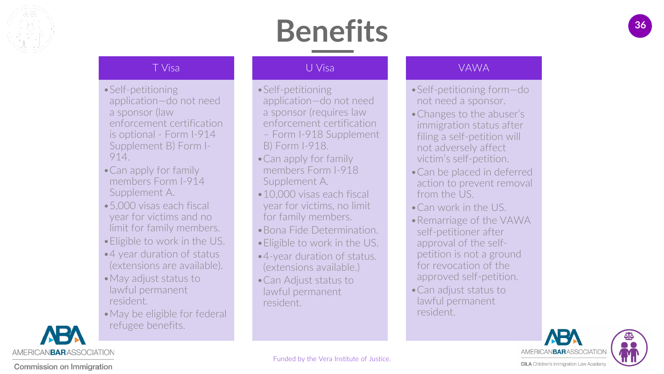

#### **<sup>36</sup> Benefits**

#### T Visa

- •Self -petitioning application —do not need a sponsor (law enforcement certification is optional - Form I-914 Supplement B) Form I - 914.
- •Can apply for family members Form I -914 Supplement A.
- •5,000 visas each fiscal year for victims and no limit for family members.
- •Eligible to work in the US.
- •4 year duration of status (extensions are available).
- •May adjust status to lawful permanent resident.
- •May be eligible for federal [re](https://www.americanbar.org/groups/public_interest/immigration/)fugee benefits.

#### U Visa

- •Self -petitioning application —do not need a sponsor (requires law enforcement certification – Form I-918 Supplement B) Form I -918.
- •Can apply for family members Form I -918 Supplement A.
- •10,000 visas each fiscal year for victims, no limit for family members.
- •Bona Fide Determination.
- •Eligible to work in the US.
- •4-year duration of status. (extensions available.)
- •Can Adjust status to lawful permanent resident.

#### VAWA

- •Self -petitioning form —do not need a sponsor.
- •Changes to the abuser's immigration status after filing a self -petition will not adversely affect victim's self -petition.
- •Can be placed in deferred action to prevent removal from the US.
- •Can work in the US.
- •Remarriage of the VAWA self -petitioner after approval of the self petition is not a ground for revocation of the approved self -petition.
- •Can adjust status to lawful permanent resident.





Funded by the Vera Institute of Justice.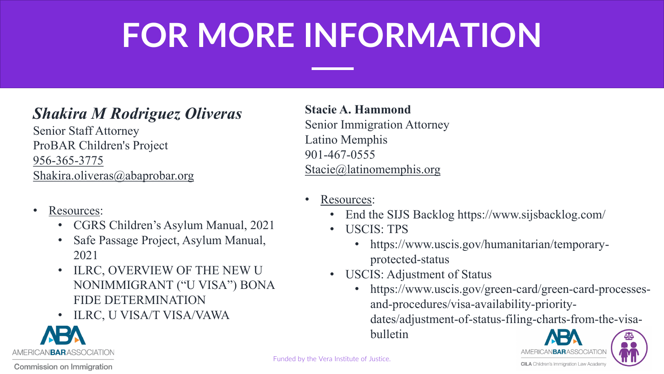### **<sup>37</sup> FOR MORE INFORMATION**

#### *Shakira M Rodriguez Oliveras*

Senior Staff Attorney ProBAR Children's Project [956-365-3775](tel:%28956%29%20365-3775) [Shakira.oliveras@abaprobar.org](mailto:Shakira.oliveras@abaprobar.org)

- Resources:
	- CGRS Children's Asylum Manual, 2021
	- Safe Passage Project, Asylum Manual, 2021
	- ILRC, OVERVIEW OF THE NEW U NONIMMIGRANT ("U VISA") BONA FIDE DETERMINATION
	- ILRC, U VISA/T VISA/VAWA

**Stacie A. Hammond** Senior Immigration Attorney Latino Memphis 901-467-0555 [Stacie@latinomemphis.org](mailto:Stacie@latinomemphis.org)

- Resources:
	- End the SIJS Backlog https://www.sijsbacklog.com/
	- USCIS: TPS
		- https://www.uscis.gov/humanitarian/temporaryprotected-status
	- USCIS: Adjustment of Status
		- https://www.uscis.gov/green-card/green-card-processesand-procedures/visa-availability-prioritydates/adjustment-of-status-filing-charts-from-the-visabulletin





**Commission on Immigration** 

AMERICANBARASSOCIATION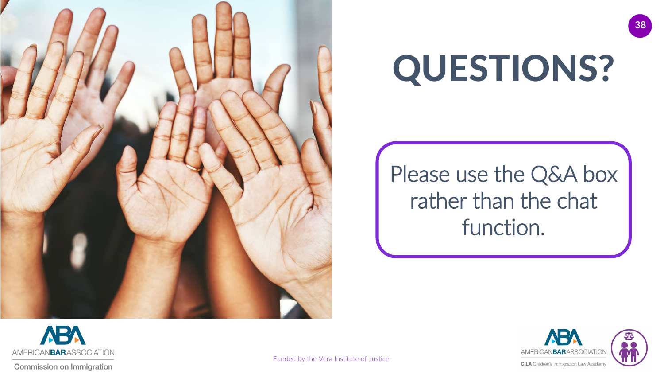

# QUESTIONS?

#### Please use the Q&A box rather than the chat function.



**Commission on Immigration** 



**38**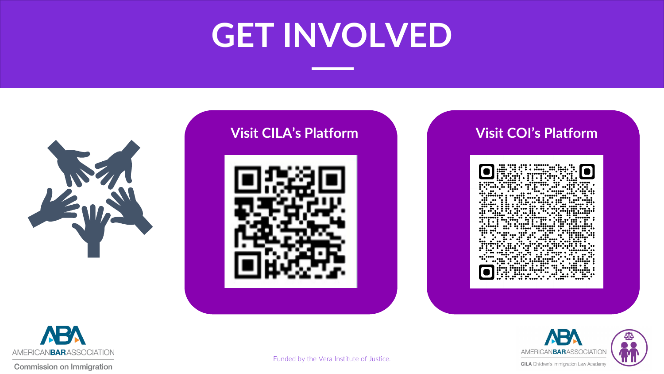### **<sup>39</sup> GET INVOLVED**









0  $\bullet\bullet\bullet\bullet$  $\bullet$ ∵…





Commission on Immigration